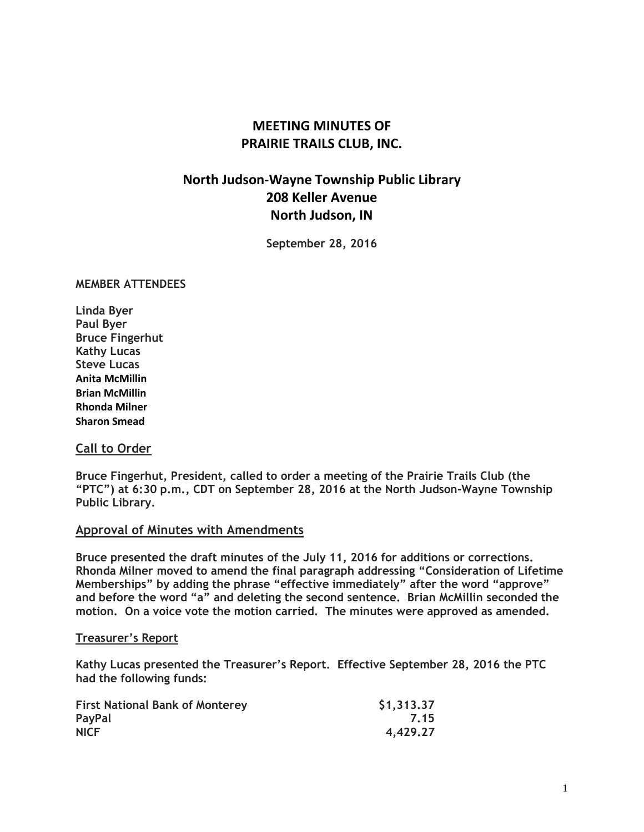# **MEETING MINUTES OF PRAIRIE TRAILS CLUB, INC.**

# **North Judson-Wayne Township Public Library 208 Keller Avenue North Judson, IN**

**September 28, 2016**

#### **MEMBER ATTENDEES**

**Linda Byer Paul Byer Bruce Fingerhut Kathy Lucas Steve Lucas Anita McMillin Brian McMillin Rhonda Milner Sharon Smead**

#### **Call to Order**

**Bruce Fingerhut, President, called to order a meeting of the Prairie Trails Club (the "PTC") at 6:30 p.m., CDT on September 28, 2016 at the North Judson-Wayne Township Public Library.**

#### **Approval of Minutes with Amendments**

**Bruce presented the draft minutes of the July 11, 2016 for additions or corrections. Rhonda Milner moved to amend the final paragraph addressing "Consideration of Lifetime Memberships" by adding the phrase "effective immediately" after the word "approve" and before the word "a" and deleting the second sentence. Brian McMillin seconded the motion. On a voice vote the motion carried. The minutes were approved as amended.**

#### **Treasurer's Report**

**Kathy Lucas presented the Treasurer's Report. Effective September 28, 2016 the PTC had the following funds:**

| <b>First National Bank of Monterey</b> | \$1,313.37 |
|----------------------------------------|------------|
| PayPal                                 | 7.15       |
| <b>NICF</b>                            | 4,429.27   |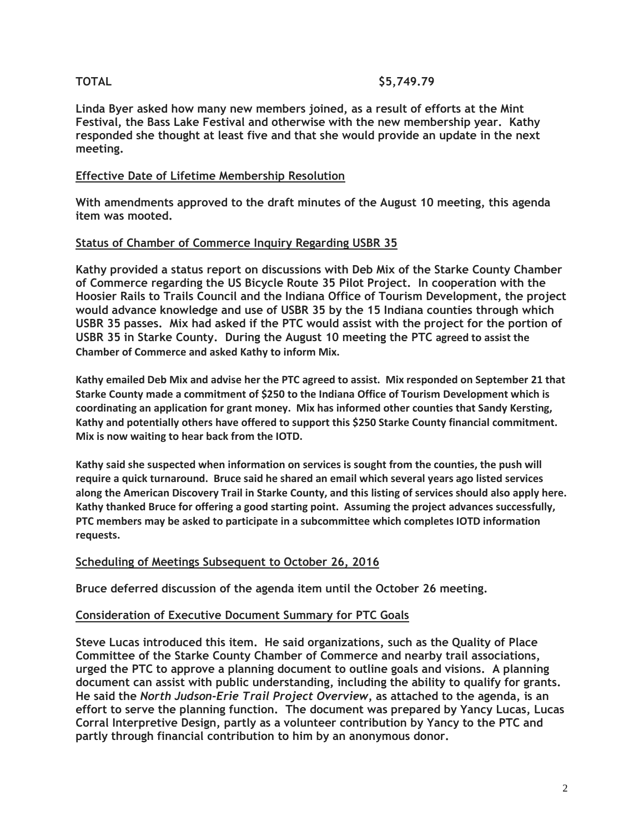# **TOTAL \$5,749.79**

**Linda Byer asked how many new members joined, as a result of efforts at the Mint Festival, the Bass Lake Festival and otherwise with the new membership year. Kathy responded she thought at least five and that she would provide an update in the next meeting.**

# **Effective Date of Lifetime Membership Resolution**

**With amendments approved to the draft minutes of the August 10 meeting, this agenda item was mooted.**

# **Status of Chamber of Commerce Inquiry Regarding USBR 35**

**Kathy provided a status report on discussions with Deb Mix of the Starke County Chamber of Commerce regarding the US Bicycle Route 35 Pilot Project. In cooperation with the Hoosier Rails to Trails Council and the Indiana Office of Tourism Development, the project would advance knowledge and use of USBR 35 by the 15 Indiana counties through which USBR 35 passes. Mix had asked if the PTC would assist with the project for the portion of USBR 35 in Starke County. During the August 10 meeting the PTC agreed to assist the Chamber of Commerce and asked Kathy to inform Mix.**

**Kathy emailed Deb Mix and advise her the PTC agreed to assist. Mix responded on September 21 that Starke County made a commitment of \$250 to the Indiana Office of Tourism Development which is coordinating an application for grant money. Mix has informed other counties that Sandy Kersting, Kathy and potentially others have offered to support this \$250 Starke County financial commitment. Mix is now waiting to hear back from the IOTD.**

**Kathy said she suspected when information on services is sought from the counties, the push will require a quick turnaround. Bruce said he shared an email which several years ago listed services** along the American Discovery Trail in Starke County, and this listing of services should also apply here. **Kathy thanked Bruce for offering a good starting point. Assuming the project advances successfully, PTC members may be asked to participate in a subcommittee which completes IOTD information requests.**

# **Scheduling of Meetings Subsequent to October 26, 2016**

**Bruce deferred discussion of the agenda item until the October 26 meeting.**

# **Consideration of Executive Document Summary for PTC Goals**

**Steve Lucas introduced this item. He said organizations, such as the Quality of Place Committee of the Starke County Chamber of Commerce and nearby trail associations, urged the PTC to approve a planning document to outline goals and visions. A planning document can assist with public understanding, including the ability to qualify for grants. He said the** *North Judson-Erie Trail Project Overview***, as attached to the agenda, is an effort to serve the planning function. The document was prepared by Yancy Lucas, Lucas Corral Interpretive Design, partly as a volunteer contribution by Yancy to the PTC and partly through financial contribution to him by an anonymous donor.**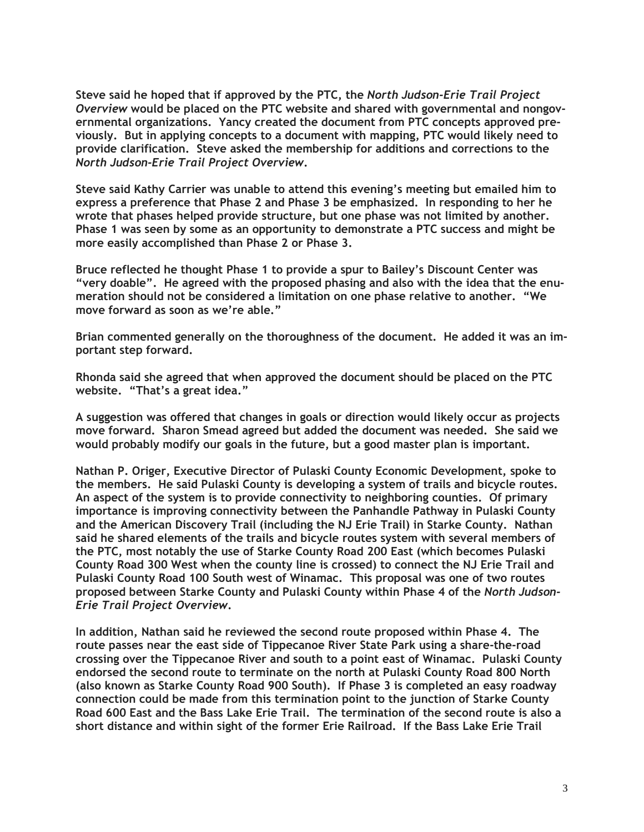**Steve said he hoped that if approved by the PTC, the** *North Judson-Erie Trail Project Overview* **would be placed on the PTC website and shared with governmental and nongovernmental organizations. Yancy created the document from PTC concepts approved previously. But in applying concepts to a document with mapping, PTC would likely need to provide clarification. Steve asked the membership for additions and corrections to the** *North Judson-Erie Trail Project Overview***.**

**Steve said Kathy Carrier was unable to attend this evening's meeting but emailed him to express a preference that Phase 2 and Phase 3 be emphasized. In responding to her he wrote that phases helped provide structure, but one phase was not limited by another. Phase 1 was seen by some as an opportunity to demonstrate a PTC success and might be more easily accomplished than Phase 2 or Phase 3.**

**Bruce reflected he thought Phase 1 to provide a spur to Bailey's Discount Center was "very doable". He agreed with the proposed phasing and also with the idea that the enumeration should not be considered a limitation on one phase relative to another. "We move forward as soon as we're able."**

**Brian commented generally on the thoroughness of the document. He added it was an important step forward.**

**Rhonda said she agreed that when approved the document should be placed on the PTC website. "That's a great idea."** 

**A suggestion was offered that changes in goals or direction would likely occur as projects move forward. Sharon Smead agreed but added the document was needed. She said we would probably modify our goals in the future, but a good master plan is important.**

**Nathan P. Origer, Executive Director of Pulaski County Economic Development, spoke to the members. He said Pulaski County is developing a system of trails and bicycle routes. An aspect of the system is to provide connectivity to neighboring counties. Of primary importance is improving connectivity between the Panhandle Pathway in Pulaski County and the American Discovery Trail (including the NJ Erie Trail) in Starke County. Nathan said he shared elements of the trails and bicycle routes system with several members of the PTC, most notably the use of Starke County Road 200 East (which becomes Pulaski County Road 300 West when the county line is crossed) to connect the NJ Erie Trail and Pulaski County Road 100 South west of Winamac. This proposal was one of two routes proposed between Starke County and Pulaski County within Phase 4 of the** *North Judson-Erie Trail Project Overview***.**

**In addition, Nathan said he reviewed the second route proposed within Phase 4. The route passes near the east side of Tippecanoe River State Park using a share-the-road crossing over the Tippecanoe River and south to a point east of Winamac. Pulaski County endorsed the second route to terminate on the north at Pulaski County Road 800 North (also known as Starke County Road 900 South). If Phase 3 is completed an easy roadway connection could be made from this termination point to the junction of Starke County Road 600 East and the Bass Lake Erie Trail. The termination of the second route is also a short distance and within sight of the former Erie Railroad. If the Bass Lake Erie Trail**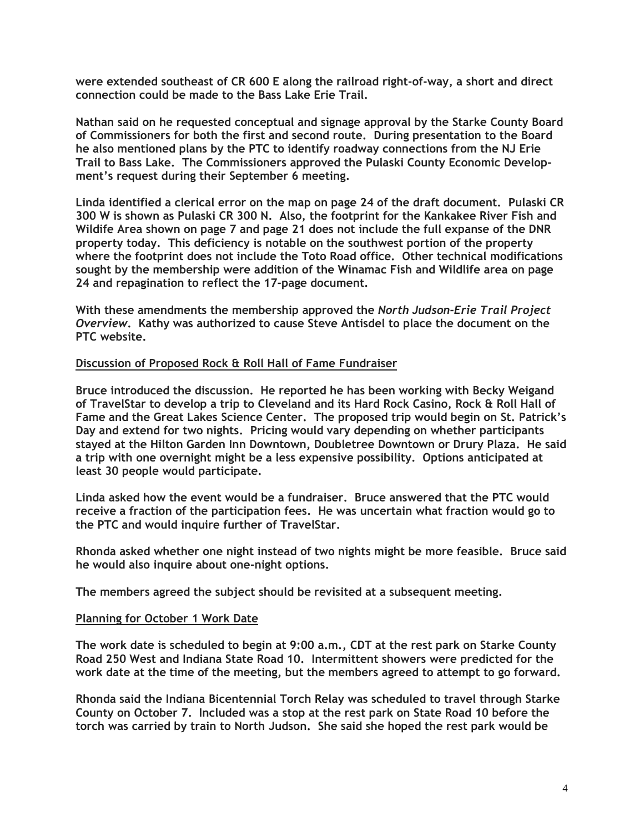**were extended southeast of CR 600 E along the railroad right-of-way, a short and direct connection could be made to the Bass Lake Erie Trail.**

**Nathan said on he requested conceptual and signage approval by the Starke County Board of Commissioners for both the first and second route. During presentation to the Board he also mentioned plans by the PTC to identify roadway connections from the NJ Erie Trail to Bass Lake. The Commissioners approved the Pulaski County Economic Development's request during their September 6 meeting.**

**Linda identified a clerical error on the map on page 24 of the draft document. Pulaski CR 300 W is shown as Pulaski CR 300 N. Also, the footprint for the Kankakee River Fish and Wildife Area shown on page 7 and page 21 does not include the full expanse of the DNR property today. This deficiency is notable on the southwest portion of the property where the footprint does not include the Toto Road office. Other technical modifications sought by the membership were addition of the Winamac Fish and Wildlife area on page 24 and repagination to reflect the 17-page document.**

**With these amendments the membership approved the** *North Judson-Erie Trail Project Overview***. Kathy was authorized to cause Steve Antisdel to place the document on the PTC website.**

### **Discussion of Proposed Rock & Roll Hall of Fame Fundraiser**

**Bruce introduced the discussion. He reported he has been working with Becky Weigand of TravelStar to develop a trip to Cleveland and its Hard Rock Casino, Rock & Roll Hall of Fame and the Great Lakes Science Center. The proposed trip would begin on St. Patrick's Day and extend for two nights. Pricing would vary depending on whether participants stayed at the Hilton Garden Inn Downtown, Doubletree Downtown or Drury Plaza. He said a trip with one overnight might be a less expensive possibility. Options anticipated at least 30 people would participate.**

**Linda asked how the event would be a fundraiser. Bruce answered that the PTC would receive a fraction of the participation fees. He was uncertain what fraction would go to the PTC and would inquire further of TravelStar.**

**Rhonda asked whether one night instead of two nights might be more feasible. Bruce said he would also inquire about one-night options.**

**The members agreed the subject should be revisited at a subsequent meeting.**

#### **Planning for October 1 Work Date**

**The work date is scheduled to begin at 9:00 a.m., CDT at the rest park on Starke County Road 250 West and Indiana State Road 10. Intermittent showers were predicted for the work date at the time of the meeting, but the members agreed to attempt to go forward.**

**Rhonda said the Indiana Bicentennial Torch Relay was scheduled to travel through Starke County on October 7. Included was a stop at the rest park on State Road 10 before the torch was carried by train to North Judson. She said she hoped the rest park would be**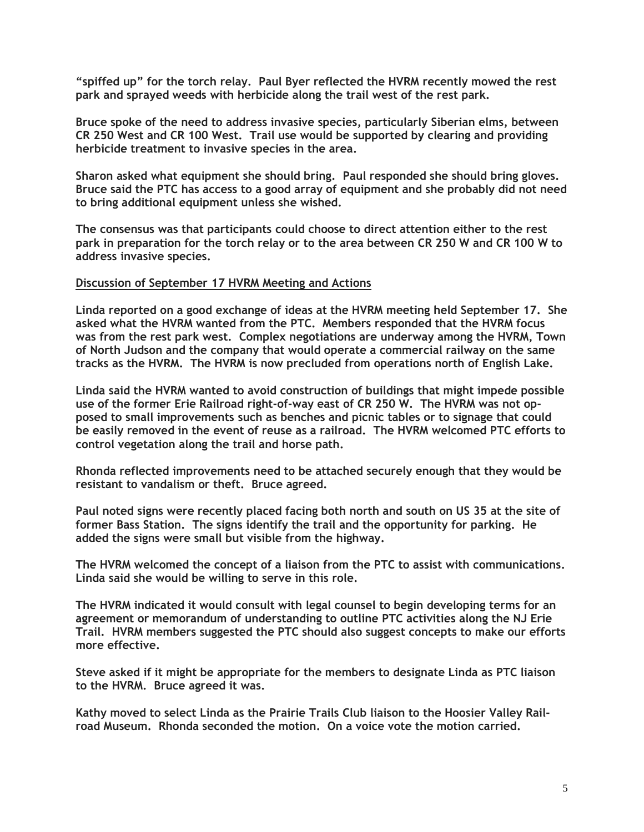**"spiffed up" for the torch relay. Paul Byer reflected the HVRM recently mowed the rest park and sprayed weeds with herbicide along the trail west of the rest park.**

**Bruce spoke of the need to address invasive species, particularly Siberian elms, between CR 250 West and CR 100 West. Trail use would be supported by clearing and providing herbicide treatment to invasive species in the area.**

**Sharon asked what equipment she should bring. Paul responded she should bring gloves. Bruce said the PTC has access to a good array of equipment and she probably did not need to bring additional equipment unless she wished.**

**The consensus was that participants could choose to direct attention either to the rest** park in preparation for the torch relay or to the area between CR 250 W and CR 100 W to **address invasive species.**

#### **Discussion of September 17 HVRM Meeting and Actions**

**Linda reported on a good exchange of ideas at the HVRM meeting held September 17. She asked what the HVRM wanted from the PTC. Members responded that the HVRM focus was from the rest park west. Complex negotiations are underway among the HVRM, Town of North Judson and the company that would operate a commercial railway on the same tracks as the HVRM. The HVRM is now precluded from operations north of English Lake.**

**Linda said the HVRM wanted to avoid construction of buildings that might impede possible use of the former Erie Railroad right-of-way east of CR 250 W. The HVRM was not opposed to small improvements such as benches and picnic tables or to signage that could be easily removed in the event of reuse as a railroad. The HVRM welcomed PTC efforts to control vegetation along the trail and horse path.**

**Rhonda reflected improvements need to be attached securely enough that they would be resistant to vandalism or theft. Bruce agreed.**

**Paul noted signs were recently placed facing both north and south on US 35 at the site of former Bass Station. The signs identify the trail and the opportunity for parking. He added the signs were small but visible from the highway.**

**The HVRM welcomed the concept of a liaison from the PTC to assist with communications. Linda said she would be willing to serve in this role.**

**The HVRM indicated it would consult with legal counsel to begin developing terms for an agreement or memorandum of understanding to outline PTC activities along the NJ Erie Trail. HVRM members suggested the PTC should also suggest concepts to make our efforts more effective.**

**Steve asked if it might be appropriate for the members to designate Linda as PTC liaison to the HVRM. Bruce agreed it was.**

**Kathy moved to select Linda as the Prairie Trails Club liaison to the Hoosier Valley Railroad Museum. Rhonda seconded the motion. On a voice vote the motion carried.**